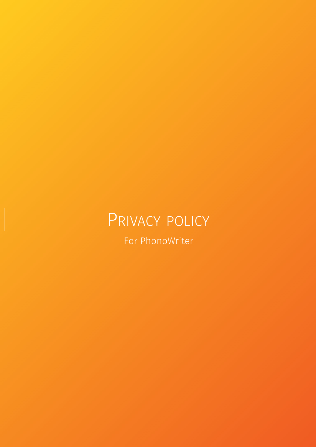# PRIVACY POLICY

For PhonoWriter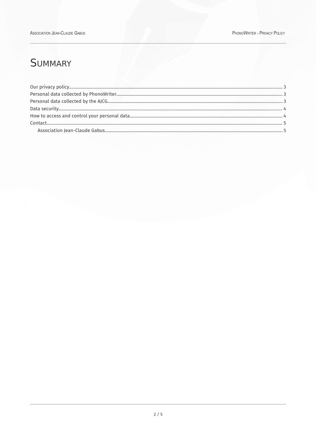## **SUMMARY**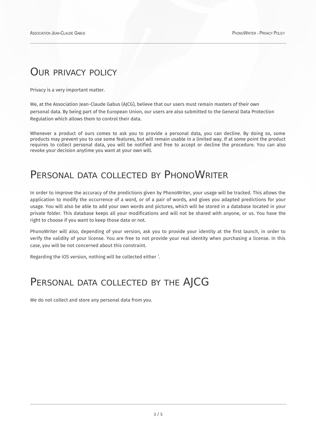#### <span id="page-2-2"></span>OUR PRIVACY POLICY

Privacy is a very important matter.

We, at the Association Jean-Claude Gabus (AJCG), believe that our users must remain masters of their own personal data. By being part of the European Union, our users are also submitted to the General Data Protection Regulation which allows them to control their data.

Whenever a product of ours comes to ask you to provide a personal data, you can decline. By doing so, some products may prevent you to use some features, but will remain usable in a limited way. If at some point the product requires to collect personal data, you will be notified and free to accept or decline the procedure. You can also revoke your decision anytime you want at your own will.

## <span id="page-2-1"></span>PERSONAL DATA COLLECTED BY PHONOWRITER

In order to improve the accuracy of the predictions given by PhonoWriter, your usage will be tracked. This allows the application to modify the occurrence of a word, or of a pair of words, and gives you adapted predictions for your usage. You will also be able to add your own words and pictures, which will be stored in a database located in your private folder. This database keeps all your modifications and will not be shared with anyone, or us. You have the right to choose if you want to keep those data or not.

PhonoWriter will also, depending of your version, ask you to provide your identity at the first launch, in order to verify the validity of your license. You are free to not provide your real identity when purchasing a license. In this case, you will be not concerned about this constraint.

Regarding the iOS version, nothing will be collected either 1.

## <span id="page-2-0"></span>PERSONAL DATA COLLECTED BY THE AJCG

We do not collect and store any personal data from you.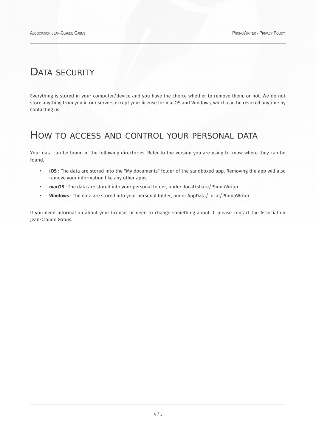#### <span id="page-3-1"></span>DATA SECURITY

Everything is stored in your computer/device and you have the choice whether to remove them, or not. We do not store anything from you in our servers except your license for macOS and Windows, which can be revoked anytime by contacting us.

#### <span id="page-3-0"></span>HOW TO ACCESS AND CONTROL YOUR PERSONAL DATA

Your data can be found in the following directories. Refer to the version you are using to know where they can be found.

- **iOS** : The data are stored into the "My documents" folder of the sandboxed app. Removing the app will also remove your information like any other apps.
- **macOS** : The data are stored into your personal folder, under .local/share/PhonoWriter.
- **Windows** : The data are stored into your personal folder, under AppData/Local/PhonoWriter.

If you need information about your license, or need to change something about it, please contact the Association Jean-Claude Gabus.